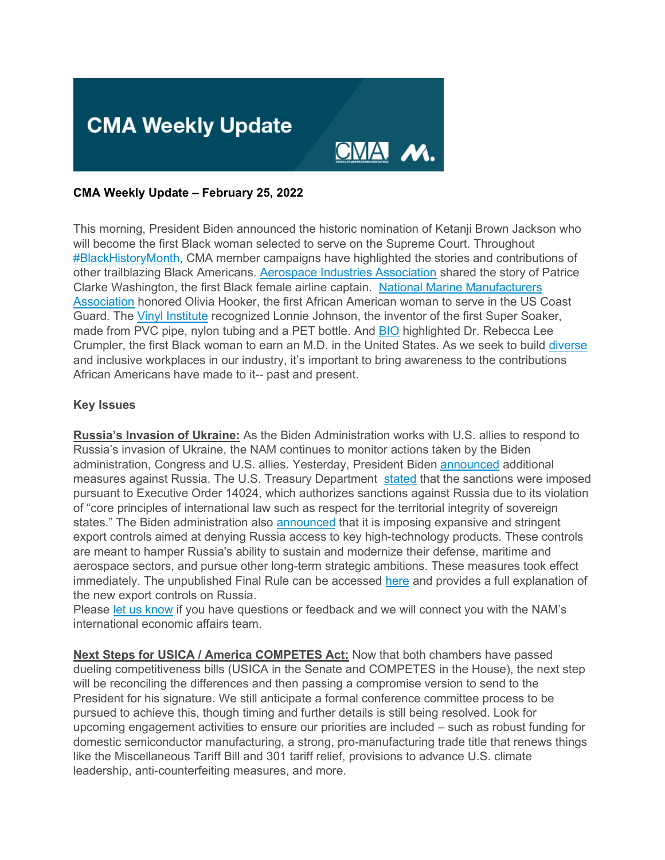

#### **CMA Weekly Update – February 25, 2022**

This morning, President Biden announced the historic nomination of Ketanji Brown Jackson who will become the first Black woman selected to serve on the Supreme Court. Throughout [#BlackHistoryMonth,](https://click.email.nam.org/?qs=e76c1443c2679569c54a6857ef2e7ed98b15ce8ba6be195fba80194a7f58536c51ac9fa9b0881a685a27d87dc51dc7d9df40cc9a4c23a75c) CMA member campaigns have highlighted the stories and contributions of other trailblazing Black Americans. [Aerospace Industries Association](https://click.email.nam.org/?qs=e76c1443c26795697dc680466ae6c581f71980ce4dbe7708decfe24f5ae792b5f3d97769f95380ecc0cced0726319fcaa2d6755fac0599db) shared the story of Patrice Clarke Washington, the first Black female airline captain. [National Marine Manufacturers](https://click.email.nam.org/?qs=e76c1443c267956917d190d5ceb36da9b50ce0b404eb7b8cbe3118e7dbca57c8629ca8a9612832cfbaa9edb758fdfc646538c842004ba8b7)  [Association](https://click.email.nam.org/?qs=e76c1443c267956917d190d5ceb36da9b50ce0b404eb7b8cbe3118e7dbca57c8629ca8a9612832cfbaa9edb758fdfc646538c842004ba8b7) honored Olivia Hooker, the first African American woman to serve in the US Coast Guard. The [Vinyl Institute](https://click.email.nam.org/?qs=e76c1443c26795698a7af210ba6535db45fae2ba473b69e8e5f4ae4c34f769804b430a8404140c27d71dbb8ecd8f9fc8dd6515b3b773a444) recognized Lonnie Johnson, the inventor of the first Super Soaker, made from PVC pipe, nylon tubing and a PET bottle. And [BIO](https://click.email.nam.org/?qs=e76c1443c2679569042829867d22794828c6fe1fdae44423470641598c431b4242582349d8c33f315505c736e0f0b9db5eddabf6a52ec725) highlighted Dr. Rebecca Lee Crumpler, the first Black woman to earn an M.D. in the United States. As we seek to build [diverse](https://click.email.nam.org/?qs=e76c1443c267956939ff993c8c6e5c48141b124fee48fd245c82947d57cd37450b80884bac86d8c7443806d4571b46b612224d3615af6726) and inclusive workplaces in our industry, it's important to bring awareness to the contributions African Americans have made to it-- past and present.

#### **Key Issues**

**Russia's Invasion of Ukraine:** As the Biden Administration works with U.S. allies to respond to Russia's invasion of Ukraine, the NAM continues to monitor actions taken by the Biden administration, Congress and U.S. allies. Yesterday, President Biden [announced](https://click.email.nam.org/?qs=e76c1443c26795693bc430237a539328776c0ba47f1226de03b1ab74e6e32aa0603de8c906c17f27c660aca78a0188de08705d55fff001a6) additional measures against Russia. The U.S. Treasury Department [stated](https://click.email.nam.org/?qs=e76c1443c2679569c2d3180ea27ca63c289dc4af6471105af38a021334c878ca6797af7791754a9ba7e1ba76263a7d7b31c9c6ae9fcae967) that the sanctions were imposed pursuant to Executive Order 14024, which authorizes sanctions against Russia due to its violation of "core principles of international law such as respect for the territorial integrity of sovereign states." The Biden administration also [announced](https://click.email.nam.org/?qs=e76c1443c267956937c165dba4c0311b7a60e31393e011b10f5b1f6334a752a40529e19fd2066c6843b85ece47a85e444324a81df3e9a7a9) that it is imposing expansive and stringent export controls aimed at denying Russia access to key high-technology products. These controls are meant to hamper Russia's ability to sustain and modernize their defense, maritime and aerospace sectors, and pursue other long-term strategic ambitions. These measures took effect immediately. The unpublished Final Rule can be accessed [here](https://click.email.nam.org/?qs=e76c1443c2679569ec09617482c93366fbc690f1d73f0533745a62028f069c0f1a4d98095440c7da27dd9caf54ca19ffb1944fe5bec74976) and provides a full explanation of the new export controls on Russia.

Please [let us know](mailto:sthompson@nam.org?subject=Sanctions%20on%20Russia) if you have questions or feedback and we will connect you with the NAM's international economic affairs team.

**Next Steps for USICA / America COMPETES Act:** Now that both chambers have passed dueling competitiveness bills (USICA in the Senate and COMPETES in the House), the next step will be reconciling the differences and then passing a compromise version to send to the President for his signature. We still anticipate a formal conference committee process to be pursued to achieve this, though timing and further details is still being resolved. Look for upcoming engagement activities to ensure our priorities are included – such as robust funding for domestic semiconductor manufacturing, a strong, pro-manufacturing trade title that renews things like the Miscellaneous Tariff Bill and 301 tariff relief, provisions to advance U.S. climate leadership, anti-counterfeiting measures, and more.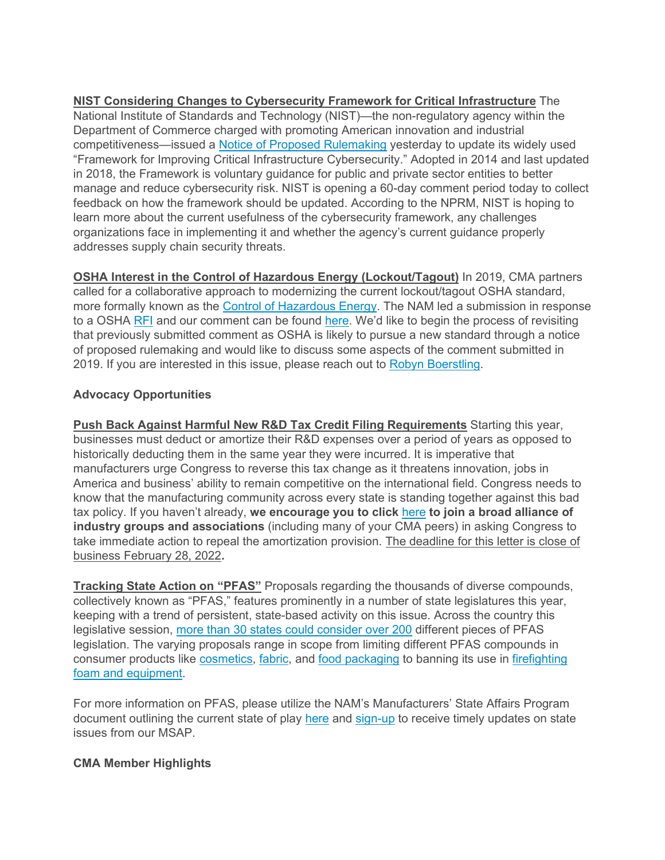**NIST Considering Changes to Cybersecurity Framework for Critical Infrastructure** The National Institute of Standards and Technology (NIST)—the non-regulatory agency within the Department of Commerce charged with promoting American innovation and industrial competitiveness—issued a [Notice of Proposed Rulemaking](https://click.email.nam.org/?qs=e76c1443c267956948cc7e9e363c8b8d323fb26c4e4d39d6e49c0087888fc6675e17c68d96ea624bf7a7cfa8bb43609884802cb495bcc243) yesterday to update its widely used "Framework for Improving Critical Infrastructure Cybersecurity." Adopted in 2014 and last updated in 2018, the Framework is voluntary guidance for public and private sector entities to better manage and reduce cybersecurity risk. NIST is opening a 60-day comment period today to collect feedback on how the framework should be updated. According to the NPRM, NIST is hoping to learn more about the current usefulness of the cybersecurity framework, any challenges organizations face in implementing it and whether the agency's current guidance properly addresses supply chain security threats.

**OSHA Interest in the Control of Hazardous Energy (Lockout/Tagout)** In 2019, CMA partners called for a collaborative approach to modernizing the current lockout/tagout OSHA standard, more formally known as the [Control of Hazardous Energy.](https://click.email.nam.org/?qs=e76c1443c26795691f75907da7179431b2faa89224e8d060cd6870465eed7e5cd2287c44f13eb0ae2b12a1e815ff6d1da06ee0581f400e42) The NAM led a submission in response to a OSHA [RFI](https://click.email.nam.org/?qs=e76c1443c267956921e61ca894a0aeb39c14184a6f01fdc65d0b28b73c2ad3ed255021ae0182815fdf54194c20cc08d7dc81e16eb7bca00f) and our comment can be found [here.](https://click.email.nam.org/?qs=e76c1443c2679569cec69690114733cc1145e9693c1f123f82b4610d1b50424e4178e7f491b93b5e3fb2a3554b844a46f4bd4f03de001456) We'd like to begin the process of revisiting that previously submitted comment as OSHA is likely to pursue a new standard through a notice of proposed rulemaking and would like to discuss some aspects of the comment submitted in 2019. If you are interested in this issue, please reach out to [Robyn Boerstling.](mailto:Rboerstling@nam.org?subject=OSHA%20Control%20of%20Hazardous%20Energy%20)

# **Advocacy Opportunities**

**Push Back Against Harmful New R&D Tax Credit Filing Requirements** Starting this year, businesses must deduct or amortize their R&D expenses over a period of years as opposed to historically deducting them in the same year they were incurred. It is imperative that manufacturers urge Congress to reverse this tax change as it threatens innovation, jobs in America and business' ability to remain competitive on the international field. Congress needs to know that the manufacturing community across every state is standing together against this bad tax policy. If you haven't already, **we encourage you to click** [here](https://click.email.nam.org/?qs=e76c1443c267956989279350377bc11e8e6ab5c9c7227485134917fa28018b22cac8298702cd130819bfa86de3430911ee73e18f8bff0f63) **to join a broad alliance of industry groups and associations** (including many of your CMA peers) in asking Congress to take immediate action to repeal the amortization provision. The deadline for this letter is close of business February 28, 2022**.** 

**Tracking State Action on "PFAS"** Proposals regarding the thousands of diverse compounds, collectively known as "PFAS," features prominently in a number of state legislatures this year, keeping with a trend of persistent, state-based activity on this issue. Across the country this legislative session, [more than 30 states could consider over 200](https://click.email.nam.org/?qs=e76c1443c26795695d515e37dda0ecd082b75fdf6362661ea212f678ce420cf36999189883e274bbee17acb52515cb726d7d8a48e949d77e) different pieces of PFAS legislation. The varying proposals range in scope from limiting different PFAS compounds in consumer products like [cosmetics,](https://click.email.nam.org/?qs=e76c1443c2679569c4160d856f85750783b102b8321c357f501da7d384e9a4cfcf52ce37549e4b9a3dad498a412b442c8123cd15279561c2) [fabric,](https://click.email.nam.org/?qs=e76c1443c2679569bbf964aa15c6593307eb0f43c2817c0fe7aa5c5b8afc4ee98dd9de2deb21eabeae8ba4dcbe4e644e40a7d00fc01e7e89) and [food packaging](https://click.email.nam.org/?qs=e76c1443c2679569af20d32585cff0e0b81e8576c3cc7c7a6250c2f150a755dc3cad305a3418322a7830e4482f294dc745ccbdd17f666a40) to banning its use in [firefighting](https://click.email.nam.org/?qs=e76c1443c2679569437c6204a9e330bcb9cbe602ae1926078e1ce03c97734353467d938ef7671fbe7125876800c04010e9ec355e39332e67)  [foam and equipment.](https://click.email.nam.org/?qs=e76c1443c2679569437c6204a9e330bcb9cbe602ae1926078e1ce03c97734353467d938ef7671fbe7125876800c04010e9ec355e39332e67)

For more information on PFAS, please utilize the NAM's Manufacturers' State Affairs Program document outlining the current state of play [here](https://click.email.nam.org/?qs=e76c1443c26795694fbaf3bd18359ee6c99d515394f606c9c4939034604cb981d3f7db51d04047f6742b871fc9d3f47446422c7b3bb4903b) and [sign-up](mailto:sthompson@nam.org?subject=MSAP%20Updates) to receive timely updates on state issues from our MSAP.

## **CMA Member Highlights**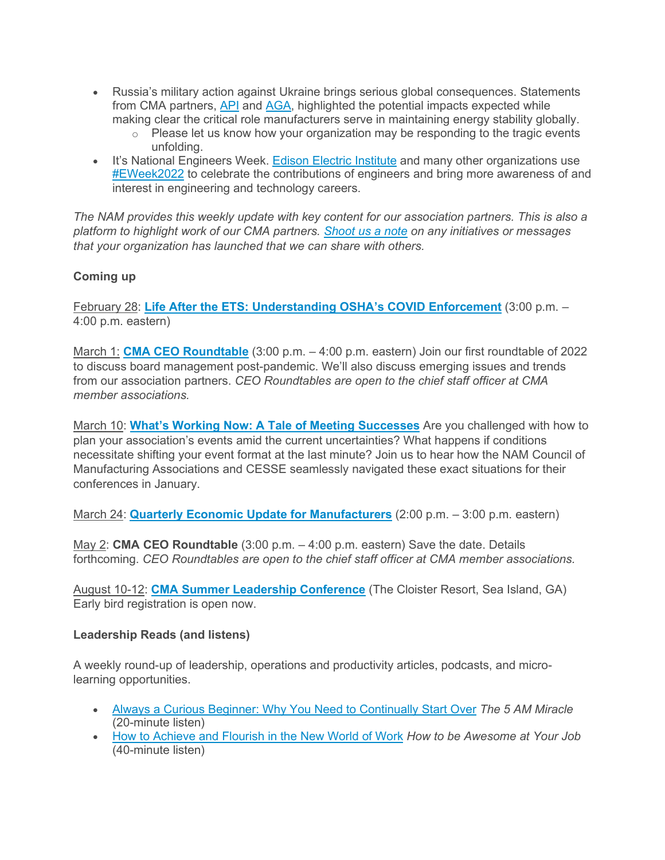- Russia's military action against Ukraine brings serious global consequences. Statements from CMA partners, [API](https://click.email.nam.org/?qs=e76c1443c26795699f8a08605b5c85e1c3138f1e5a8c7542fc9c2204f363d218e7848a1b2a267a67880e1d6dcfaca31f78c05bab94ed59aa) and [AGA,](https://click.email.nam.org/?qs=e76c1443c2679569cc6d8e66796eb660a6e2a2761bd0880e6150c96aa333fb1572973df10496069f85f1482311deb300f83d59bb6d3392d0) highlighted the potential impacts expected while making clear the critical role manufacturers serve in maintaining energy stability globally.
	- $\circ$  Please let us know how your organization may be responding to the tragic events unfolding.
- It's National Engineers Week. [Edison Electric Institute](https://click.email.nam.org/?qs=e76c1443c26795690a73dcb729739ce3031ba0a5dd10220f45c3121abb57f292814f1deee93dd2be05743f8ba4e20f9b64ea24e0dda8a5ab) and many other organizations use [#EWeek2022](https://click.email.nam.org/?qs=e76c1443c267956996993ade295800f125d3154b02093f2692bd9c16ca4cd6e927d64e83e78d142c363c92f27a89e19aa2ae8487c2ceb93a) to celebrate the contributions of engineers and bring more awareness of and interest in engineering and technology careers.

*The NAM provides this weekly update with key content for our association partners. This is also a platform to highlight work of our CMA partners. [Shoot us a note](mailto:sthompson@nam.org?subject=) on any initiatives or messages that your organization has launched that we can share with others.*

# **Coming up**

February 28: **[Life After the ETS: Understanding OSHA's COVID Enforcement](https://click.email.nam.org/?qs=e76c1443c2679569fa2b3f05be367ec0b9a7082e2c8e6d6daa28123b481e14c58ddedb2f9707707da080de88ca902cc1263a77a8f5c58b63)** (3:00 p.m. – 4:00 p.m. eastern)

March 1: **[CMA CEO Roundtable](https://click.email.nam.org/?qs=e76c1443c267956904e6621de601334f7b29b1b260334ea9d1f4c50aed544f55529bd082a7e169ed7060b9f9d788786b5b7cfb313147f986)** (3:00 p.m. – 4:00 p.m. eastern) Join our first roundtable of 2022 to discuss board management post-pandemic. We'll also discuss emerging issues and trends from our association partners. *CEO Roundtables are open to the chief staff officer at CMA member associations.*

March 10: **[What's Working Now: A Tale of Meeting Successes](https://click.email.nam.org/?qs=e76c1443c26795690cc05538331afce41a12d7a78ddbf51436ae6e4b9ce219e06405bb078f691a4c0d9442d774f8ffbd9c099e5cfafc9bf0)** Are you challenged with how to plan your association's events amid the current uncertainties? What happens if conditions necessitate shifting your event format at the last minute? Join us to hear how the NAM Council of Manufacturing Associations and CESSE seamlessly navigated these exact situations for their conferences in January.

March 24: **[Quarterly Economic Update for Manufacturers](https://click.email.nam.org/?qs=e76c1443c2679569b3611e6c3d79fcc904607497d4accbd8f3139f1486ed2ce1b078f0b81bade9774e415c3cee54fe8180173a3307a2dcf4)** (2:00 p.m. – 3:00 p.m. eastern)

May 2: **CMA CEO Roundtable** (3:00 p.m. – 4:00 p.m. eastern) Save the date. Details forthcoming. *CEO Roundtables are open to the chief staff officer at CMA member associations.*

August 10-12: **[CMA Summer Leadership Conference](https://click.email.nam.org/?qs=e76c1443c26795696bdf81e93d712cb1c74267a74092c413f2fda6f5ccd7838ea7a321e0c93e34ae2a91cfe532ade1ec73f94c2baba12305)** (The Cloister Resort, Sea Island, GA) Early bird registration is open now.

## **Leadership Reads (and listens)**

A weekly round-up of leadership, operations and productivity articles, podcasts, and microlearning opportunities.

- [Always a Curious Beginner: Why You Need to Continually Start Over](https://click.email.nam.org/?qs=e76c1443c2679569ebba34ab2db9dcad7e199211a22c94aa9146e05b27b907a6f5b47dadd3a6d31bfad076ba18ef594184d6b41ee779d527) *The 5 AM Miracle* (20-minute listen)
- [How to Achieve and Flourish in the New World of Work](https://click.email.nam.org/?qs=e76c1443c2679569f404cdd89b7da9b727748dca00a6dbe69bf038fd7a4602c7bd6e96ce2355af65949da3f3d368c7f36f23daae3330c798) *How to be Awesome at Your Job* (40-minute listen)